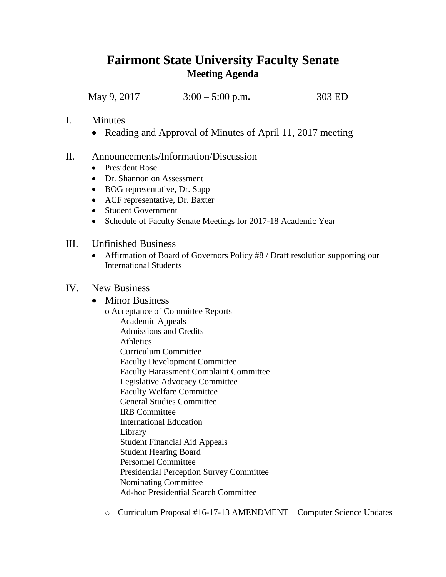## **Fairmont State University Faculty Senate Meeting Agenda**

May 9, 2017 3:00 – 5:00 p.m**.** 303 ED

- I. Minutes
	- Reading and Approval of Minutes of April 11, 2017 meeting
- II. Announcements/Information/Discussion
	- President Rose
	- Dr. Shannon on Assessment
	- BOG representative, Dr. Sapp
	- ACF representative, Dr. Baxter
	- Student Government
	- Schedule of Faculty Senate Meetings for 2017-18 Academic Year
- III. Unfinished Business
	- Affirmation of Board of Governors Policy #8 / Draft resolution supporting our International Students

## IV. New Business

- Minor Business
	- o Acceptance of Committee Reports Academic Appeals Admissions and Credits **Athletics** Curriculum Committee Faculty Development Committee Faculty Harassment Complaint Committee Legislative Advocacy Committee Faculty Welfare Committee General Studies Committee IRB Committee International Education Library Student Financial Aid Appeals Student Hearing Board Personnel Committee Presidential Perception Survey Committee Nominating Committee Ad-hoc Presidential Search Committee

o Curriculum Proposal #16-17-13 AMENDMENT Computer Science Updates